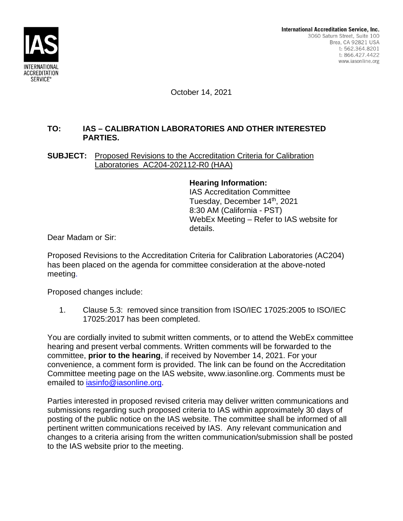

October 14, 2021

## **TO: IAS – CALIBRATION LABORATORIES AND OTHER INTERESTED PARTIES.**

**SUBJECT:** Proposed Revisions to the Accreditation Criteria for Calibration Laboratories AC204-202112-R0 (HAA)

> **Hearing Information:** IAS Accreditation Committee Tuesday, December 14th, 2021 8:30 AM (California - PST) WebEx Meeting – Refer to IAS website for

Dear Madam or Sir:

Proposed Revisions to the Accreditation Criteria for Calibration Laboratories (AC204) has been placed on the agenda for committee consideration at the above-noted meeting.

details.

Proposed changes include:

1. Clause 5.3: removed since transition from ISO/IEC 17025:2005 to ISO/IEC 17025:2017 has been completed.

You are cordially invited to submit written comments, or to attend the WebEx committee hearing and present verbal comments. Written comments will be forwarded to the committee, **prior to the hearing**, if received by November 14, 2021. For your convenience, a comment form is provided. The link can be found on the Accreditation Committee meeting page on the IAS website, www.iasonline.org. Comments must be emailed to iasinfo@iasonline.org.

Parties interested in proposed revised criteria may deliver written communications and submissions regarding such proposed criteria to IAS within approximately 30 days of posting of the public notice on the IAS website. The committee shall be informed of all pertinent written communications received by IAS. Any relevant communication and changes to a criteria arising from the written communication/submission shall be posted to the IAS website prior to the meeting.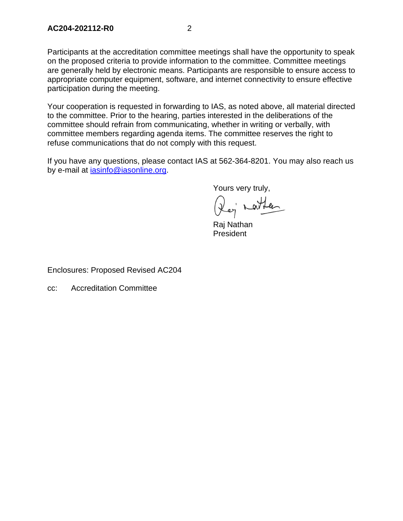Participants at the accreditation committee meetings shall have the opportunity to speak on the proposed criteria to provide information to the committee. Committee meetings are generally held by electronic means. Participants are responsible to ensure access to appropriate computer equipment, software, and internet connectivity to ensure effective participation during the meeting.

Your cooperation is requested in forwarding to IAS, as noted above, all material directed to the committee. Prior to the hearing, parties interested in the deliberations of the committee should refrain from communicating, whether in writing or verbally, with committee members regarding agenda items. The committee reserves the right to refuse communications that do not comply with this request.

If you have any questions, please contact IAS at 562-364-8201. You may also reach us by e-mail at iasinfo@iasonline.org.

Yours very truly,

Rei natten

Raj Nathan President

Enclosures: Proposed Revised AC204

cc: Accreditation Committee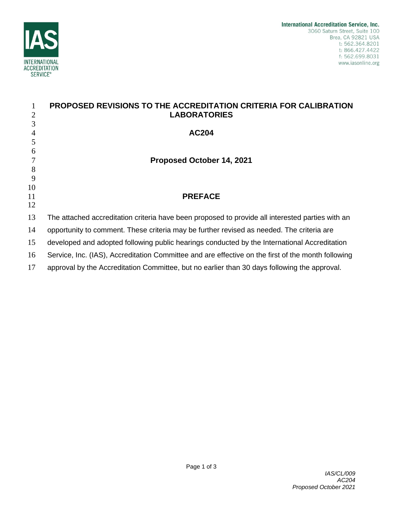

|                | PROPOSED REVISIONS TO THE ACCREDITATION CRITERIA FOR CALIBRATION                                   |
|----------------|----------------------------------------------------------------------------------------------------|
| $\overline{2}$ | <b>LABORATORIES</b>                                                                                |
| 3              |                                                                                                    |
| $\overline{4}$ | <b>AC204</b>                                                                                       |
| 5              |                                                                                                    |
| 6              |                                                                                                    |
|                | Proposed October 14, 2021                                                                          |
| 8              |                                                                                                    |
| 9              |                                                                                                    |
| 10             | <b>PREFACE</b>                                                                                     |
| 11<br>12       |                                                                                                    |
|                |                                                                                                    |
| 13             | The attached accreditation criteria have been proposed to provide all interested parties with an   |
| 14             | opportunity to comment. These criteria may be further revised as needed. The criteria are          |
| 15             | developed and adopted following public hearings conducted by the International Accreditation       |
| 16             | Service, Inc. (IAS), Accreditation Committee and are effective on the first of the month following |
| 17             | approval by the Accreditation Committee, but no earlier than 30 days following the approval.       |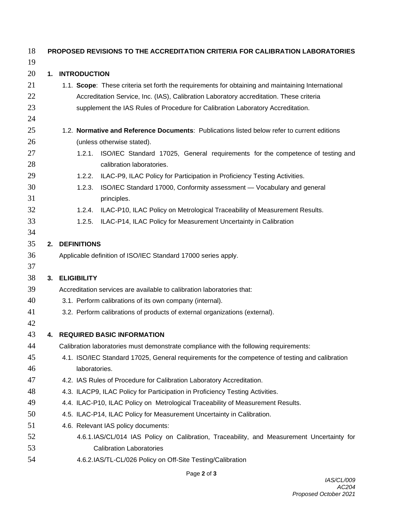| 18       |    | <b>PROPOSED REVISIONS TO THE ACCREDITATION CRITERIA FOR CALIBRATION LABORATORIES</b>                                  |
|----------|----|-----------------------------------------------------------------------------------------------------------------------|
| 19       |    |                                                                                                                       |
| 20       | 1. | <b>INTRODUCTION</b>                                                                                                   |
| 21       |    | 1.1. Scope: These criteria set forth the requirements for obtaining and maintaining International                     |
| 22       |    | Accreditation Service, Inc. (IAS), Calibration Laboratory accreditation. These criteria                               |
| 23       |    | supplement the IAS Rules of Procedure for Calibration Laboratory Accreditation.                                       |
| 24       |    |                                                                                                                       |
| 25       |    | 1.2. Normative and Reference Documents: Publications listed below refer to current editions                           |
| 26       |    | (unless otherwise stated).                                                                                            |
| 27<br>28 |    | ISO/IEC Standard 17025, General requirements for the competence of testing and<br>1.2.1.<br>calibration laboratories. |
| 29       |    | ILAC-P9, ILAC Policy for Participation in Proficiency Testing Activities.<br>1.2.2.                                   |
| 30       |    | ISO/IEC Standard 17000, Conformity assessment - Vocabulary and general<br>1.2.3.                                      |
| 31       |    | principles.                                                                                                           |
| 32       |    | ILAC-P10, ILAC Policy on Metrological Traceability of Measurement Results.<br>1.2.4.                                  |
| 33       |    | 1.2.5.<br>ILAC-P14, ILAC Policy for Measurement Uncertainty in Calibration                                            |
| 34       |    |                                                                                                                       |
| 35       | 2. | <b>DEFINITIONS</b>                                                                                                    |
| 36       |    | Applicable definition of ISO/IEC Standard 17000 series apply.                                                         |
| 37       |    |                                                                                                                       |
| 38       |    | 3. ELIGIBILITY                                                                                                        |
| 39       |    | Accreditation services are available to calibration laboratories that:                                                |
| 40       |    | 3.1. Perform calibrations of its own company (internal).                                                              |
| 41       |    | 3.2. Perform calibrations of products of external organizations (external).                                           |
| 42       |    |                                                                                                                       |
| 43       |    | 4. REQUIRED BASIC INFORMATION                                                                                         |
| 44       |    | Calibration laboratories must demonstrate compliance with the following requirements:                                 |
| 45       |    | 4.1. ISO/IEC Standard 17025, General requirements for the competence of testing and calibration                       |
| 46       |    | laboratories.                                                                                                         |
| 47       |    | 4.2. IAS Rules of Procedure for Calibration Laboratory Accreditation.                                                 |
| 48       |    | 4.3. ILACP9, ILAC Policy for Participation in Proficiency Testing Activities.                                         |
| 49       |    | 4.4. ILAC-P10, ILAC Policy on Metrological Traceability of Measurement Results.                                       |
| 50       |    | 4.5. ILAC-P14, ILAC Policy for Measurement Uncertainty in Calibration.                                                |
| 51       |    | 4.6. Relevant IAS policy documents:                                                                                   |
| 52       |    | 4.6.1.IAS/CL/014 IAS Policy on Calibration, Traceability, and Measurement Uncertainty for                             |
| 53       |    | <b>Calibration Laboratories</b>                                                                                       |
| 54       |    | 4.6.2.IAS/TL-CL/026 Policy on Off-Site Testing/Calibration                                                            |